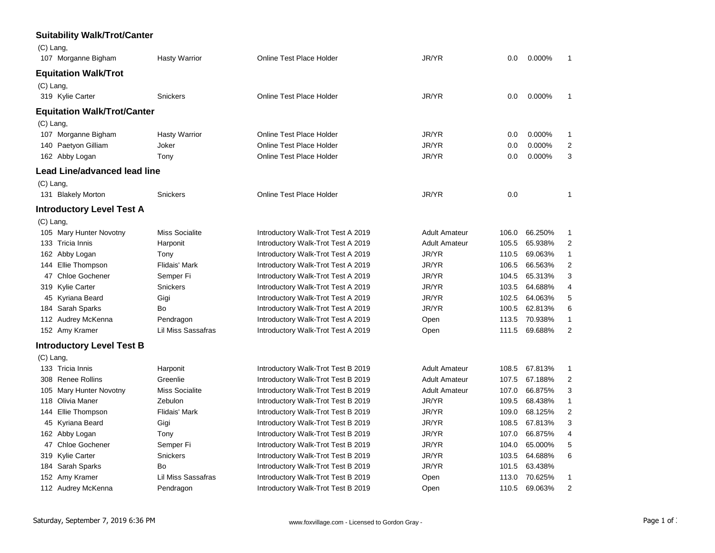| <b>Suitability Walk/Trot/Canter</b> |                       |                                    |                      |       |         |                |
|-------------------------------------|-----------------------|------------------------------------|----------------------|-------|---------|----------------|
| $(C)$ Lang,                         |                       |                                    |                      |       |         |                |
| 107 Morganne Bigham                 | <b>Hasty Warrior</b>  | <b>Online Test Place Holder</b>    | JR/YR                | 0.0   | 0.000%  | $\mathbf{1}$   |
| <b>Equitation Walk/Trot</b>         |                       |                                    |                      |       |         |                |
| $(C)$ Lang,                         |                       |                                    |                      |       |         |                |
| 319 Kylie Carter                    | <b>Snickers</b>       | Online Test Place Holder           | JR/YR                | 0.0   | 0.000%  | 1              |
|                                     |                       |                                    |                      |       |         |                |
| Equitation Walk/Trot/Canter         |                       |                                    |                      |       |         |                |
| (C) Lang,                           |                       |                                    |                      |       |         |                |
| 107 Morganne Bigham                 | <b>Hasty Warrior</b>  | Online Test Place Holder           | JR/YR                | 0.0   | 0.000%  | 1              |
| 140 Paetyon Gilliam                 | Joker                 | Online Test Place Holder           | JR/YR                | 0.0   | 0.000%  | $\overline{c}$ |
| 162 Abby Logan                      | Tony                  | Online Test Place Holder           | JR/YR                | 0.0   | 0.000%  | 3              |
| Lead Line/advanced lead line        |                       |                                    |                      |       |         |                |
| $(C)$ Lang,                         |                       |                                    |                      |       |         |                |
| 131 Blakely Morton                  | <b>Snickers</b>       | Online Test Place Holder           | JR/YR                | 0.0   |         | 1              |
| <b>Introductory Level Test A</b>    |                       |                                    |                      |       |         |                |
| (C) Lang,                           |                       |                                    |                      |       |         |                |
| 105 Mary Hunter Novotny             | <b>Miss Socialite</b> | Introductory Walk-Trot Test A 2019 | <b>Adult Amateur</b> | 106.0 | 66.250% | 1              |
| 133 Tricia Innis                    | Harponit              | Introductory Walk-Trot Test A 2019 | <b>Adult Amateur</b> | 105.5 | 65.938% | 2              |
| 162 Abby Logan                      | Tony                  | Introductory Walk-Trot Test A 2019 | JR/YR                | 110.5 | 69.063% | $\mathbf{1}$   |
| 144 Ellie Thompson                  | Flidais' Mark         | Introductory Walk-Trot Test A 2019 | JR/YR                | 106.5 | 66.563% | $\mathbf 2$    |
| 47 Chloe Gochener                   | Semper Fi             | Introductory Walk-Trot Test A 2019 | JR/YR                | 104.5 | 65.313% | 3              |
| 319 Kylie Carter                    | Snickers              | Introductory Walk-Trot Test A 2019 | JR/YR                | 103.5 | 64.688% | 4              |
| 45 Kyriana Beard                    | Gigi                  | Introductory Walk-Trot Test A 2019 | JR/YR                | 102.5 | 64.063% | 5              |
| 184 Sarah Sparks                    | Bo                    | Introductory Walk-Trot Test A 2019 | JR/YR                | 100.5 | 62.813% | 6              |
| 112 Audrey McKenna                  | Pendragon             | Introductory Walk-Trot Test A 2019 | Open                 | 113.5 | 70.938% | $\mathbf{1}$   |
| 152 Amy Kramer                      | Lil Miss Sassafras    | Introductory Walk-Trot Test A 2019 | Open                 | 111.5 | 69.688% | $\overline{2}$ |
| <b>Introductory Level Test B</b>    |                       |                                    |                      |       |         |                |
| $(C)$ Lang,                         |                       |                                    |                      |       |         |                |
| 133 Tricia Innis                    | Harponit              | Introductory Walk-Trot Test B 2019 | <b>Adult Amateur</b> | 108.5 | 67.813% | 1              |
| 308 Renee Rollins                   | Greenlie              | Introductory Walk-Trot Test B 2019 | <b>Adult Amateur</b> | 107.5 | 67.188% | 2              |
| 105 Mary Hunter Novotny             | <b>Miss Socialite</b> | Introductory Walk-Trot Test B 2019 | <b>Adult Amateur</b> | 107.0 | 66.875% | 3              |
| 118 Olivia Maner                    | Zebulon               | Introductory Walk-Trot Test B 2019 | JR/YR                | 109.5 | 68.438% | $\mathbf{1}$   |
| 144 Ellie Thompson                  | Flidais' Mark         | Introductory Walk-Trot Test B 2019 | JR/YR                | 109.0 | 68.125% | $\overline{2}$ |
| 45 Kyriana Beard                    | Gigi                  | Introductory Walk-Trot Test B 2019 | JR/YR                | 108.5 | 67.813% | 3              |
| 162 Abby Logan                      | Tony                  | Introductory Walk-Trot Test B 2019 | JR/YR                | 107.0 | 66.875% | 4              |
| 47 Chloe Gochener                   | Semper Fi             | Introductory Walk-Trot Test B 2019 | JR/YR                | 104.0 | 65.000% | 5              |
| 319 Kylie Carter                    | Snickers              | Introductory Walk-Trot Test B 2019 | JR/YR                | 103.5 | 64.688% | 6              |
| 184 Sarah Sparks                    | Bo                    | Introductory Walk-Trot Test B 2019 | JR/YR                | 101.5 | 63.438% |                |
| 152 Amy Kramer                      | Lil Miss Sassafras    | Introductory Walk-Trot Test B 2019 | Open                 | 113.0 | 70.625% | 1              |
| 112 Audrey McKenna                  | Pendragon             | Introductory Walk-Trot Test B 2019 | Open                 | 110.5 | 69.063% | $\overline{2}$ |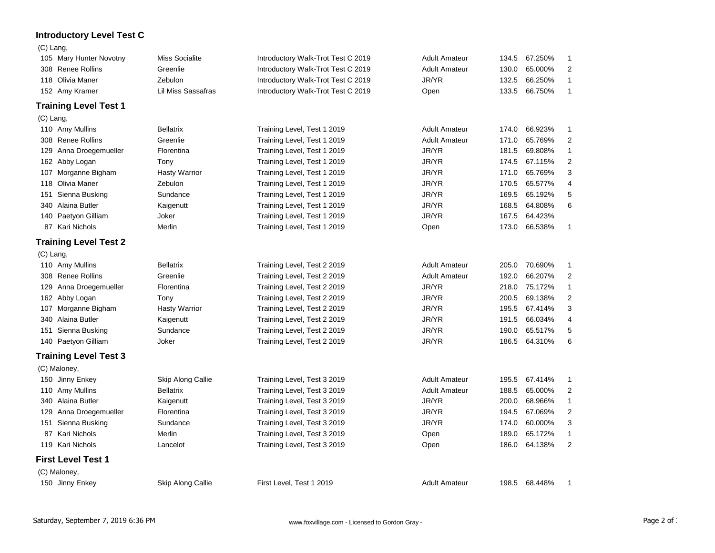## **Introductory Level Test C**

| $(C)$ Lang, |                              |                           |                                    |                      |       |         |                  |
|-------------|------------------------------|---------------------------|------------------------------------|----------------------|-------|---------|------------------|
|             | 105 Mary Hunter Novotny      | <b>Miss Socialite</b>     | Introductory Walk-Trot Test C 2019 | <b>Adult Amateur</b> | 134.5 | 67.250% | 1                |
|             | 308 Renee Rollins            | Greenlie                  | Introductory Walk-Trot Test C 2019 | <b>Adult Amateur</b> | 130.0 | 65.000% | 2                |
|             | 118 Olivia Maner             | Zebulon                   | Introductory Walk-Trot Test C 2019 | JR/YR                | 132.5 | 66.250% | $\mathbf{1}$     |
|             | 152 Amy Kramer               | <b>Lil Miss Sassafras</b> | Introductory Walk-Trot Test C 2019 | Open                 | 133.5 | 66.750% | 1                |
|             | <b>Training Level Test 1</b> |                           |                                    |                      |       |         |                  |
| $(C)$ Lang, |                              |                           |                                    |                      |       |         |                  |
|             | 110 Amy Mullins              | <b>Bellatrix</b>          | Training Level, Test 1 2019        | <b>Adult Amateur</b> | 174.0 | 66.923% | 1                |
|             | 308 Renee Rollins            | Greenlie                  | Training Level, Test 1 2019        | <b>Adult Amateur</b> | 171.0 | 65.769% | $\overline{2}$   |
|             | 129 Anna Droegemueller       | Florentina                | Training Level, Test 1 2019        | JR/YR                | 181.5 | 69.808% | 1                |
|             | 162 Abby Logan               | Tony                      | Training Level, Test 1 2019        | JR/YR                | 174.5 | 67.115% | 2                |
|             | 107 Morganne Bigham          | <b>Hasty Warrior</b>      | Training Level, Test 1 2019        | JR/YR                | 171.0 | 65.769% | 3                |
|             | 118 Olivia Maner             | Zebulon                   | Training Level, Test 1 2019        | JR/YR                | 170.5 | 65.577% | $\overline{4}$   |
| 151         | Sienna Busking               | Sundance                  | Training Level, Test 1 2019        | JR/YR                | 169.5 | 65.192% | 5                |
|             | 340 Alaina Butler            | Kaigenutt                 | Training Level, Test 1 2019        | JR/YR                | 168.5 | 64.808% | 6                |
|             | 140 Paetyon Gilliam          | Joker                     | Training Level, Test 1 2019        | JR/YR                | 167.5 | 64.423% |                  |
|             | 87 Kari Nichols              | Merlin                    | Training Level, Test 1 2019        | Open                 | 173.0 | 66.538% | $\mathbf{1}$     |
|             | <b>Training Level Test 2</b> |                           |                                    |                      |       |         |                  |
| $(C)$ Lang, |                              |                           |                                    |                      |       |         |                  |
|             | 110 Amy Mullins              | <b>Bellatrix</b>          | Training Level, Test 2 2019        | <b>Adult Amateur</b> | 205.0 | 70.690% | 1                |
|             | 308 Renee Rollins            | Greenlie                  | Training Level, Test 2 2019        | <b>Adult Amateur</b> | 192.0 | 66.207% | 2                |
| 129         | Anna Droegemueller           | Florentina                | Training Level, Test 2 2019        | JR/YR                | 218.0 | 75.172% | $\mathbf{1}$     |
|             | 162 Abby Logan               | Tony                      | Training Level, Test 2 2019        | JR/YR                | 200.5 | 69.138% | $\overline{2}$   |
|             | 107 Morganne Bigham          | <b>Hasty Warrior</b>      | Training Level, Test 2 2019        | JR/YR                | 195.5 | 67.414% | 3                |
|             | 340 Alaina Butler            | Kaigenutt                 | Training Level, Test 2 2019        | JR/YR                | 191.5 | 66.034% | 4                |
|             | 151 Sienna Busking           | Sundance                  | Training Level, Test 2 2019        | JR/YR                | 190.0 | 65.517% | 5                |
|             | 140 Paetyon Gilliam          | Joker                     | Training Level, Test 2 2019        | JR/YR                | 186.5 | 64.310% | 6                |
|             | <b>Training Level Test 3</b> |                           |                                    |                      |       |         |                  |
|             | (C) Maloney,                 |                           |                                    |                      |       |         |                  |
|             | 150 Jinny Enkey              | Skip Along Callie         | Training Level, Test 3 2019        | <b>Adult Amateur</b> | 195.5 | 67.414% | 1                |
|             | 110 Amy Mullins              | Bellatrix                 | Training Level, Test 3 2019        | <b>Adult Amateur</b> | 188.5 | 65.000% | $\boldsymbol{2}$ |
|             | 340 Alaina Butler            | Kaigenutt                 | Training Level, Test 3 2019        | JR/YR                | 200.0 | 68.966% | $\mathbf{1}$     |
|             | 129 Anna Droegemueller       | Florentina                | Training Level, Test 3 2019        | JR/YR                | 194.5 | 67.069% | $\overline{2}$   |
|             | 151 Sienna Busking           | Sundance                  | Training Level, Test 3 2019        | JR/YR                | 174.0 | 60.000% | 3                |
|             | 87 Kari Nichols              | Merlin                    | Training Level, Test 3 2019        | Open                 | 189.0 | 65.172% | $\mathbf{1}$     |
|             | 119 Kari Nichols             | Lancelot                  | Training Level, Test 3 2019        | Open                 | 186.0 | 64.138% | 2                |
|             | <b>First Level Test 1</b>    |                           |                                    |                      |       |         |                  |
|             | (C) Maloney,                 |                           |                                    |                      |       |         |                  |
|             | 150 Jinny Enkey              | Skip Along Callie         | First Level, Test 1 2019           | <b>Adult Amateur</b> | 198.5 | 68.448% | 1                |
|             |                              |                           |                                    |                      |       |         |                  |